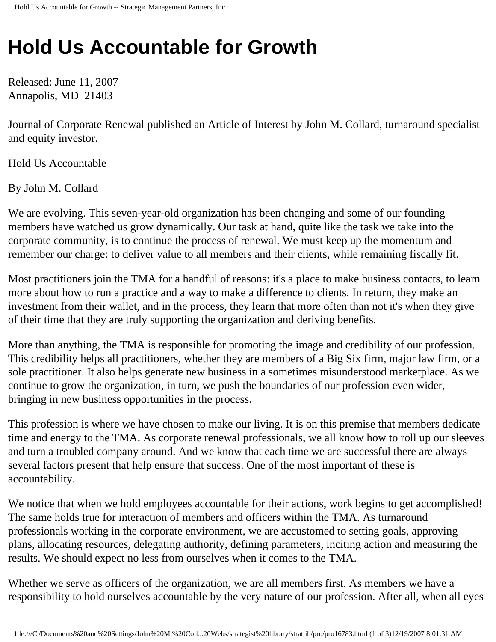## **Hold Us Accountable for Growth**

Released: June 11, 2007 Annapolis, MD 21403

Journal of Corporate Renewal published an Article of Interest by John M. Collard, turnaround specialist and equity investor.

Hold Us Accountable

By John M. Collard

We are evolving. This seven-year-old organization has been changing and some of our founding members have watched us grow dynamically. Our task at hand, quite like the task we take into the corporate community, is to continue the process of renewal. We must keep up the momentum and remember our charge: to deliver value to all members and their clients, while remaining fiscally fit.

Most practitioners join the TMA for a handful of reasons: it's a place to make business contacts, to learn more about how to run a practice and a way to make a difference to clients. In return, they make an investment from their wallet, and in the process, they learn that more often than not it's when they give of their time that they are truly supporting the organization and deriving benefits.

More than anything, the TMA is responsible for promoting the image and credibility of our profession. This credibility helps all practitioners, whether they are members of a Big Six firm, major law firm, or a sole practitioner. It also helps generate new business in a sometimes misunderstood marketplace. As we continue to grow the organization, in turn, we push the boundaries of our profession even wider, bringing in new business opportunities in the process.

This profession is where we have chosen to make our living. It is on this premise that members dedicate time and energy to the TMA. As corporate renewal professionals, we all know how to roll up our sleeves and turn a troubled company around. And we know that each time we are successful there are always several factors present that help ensure that success. One of the most important of these is accountability.

We notice that when we hold employees accountable for their actions, work begins to get accomplished! The same holds true for interaction of members and officers within the TMA. As turnaround professionals working in the corporate environment, we are accustomed to setting goals, approving plans, allocating resources, delegating authority, defining parameters, inciting action and measuring the results. We should expect no less from ourselves when it comes to the TMA.

Whether we serve as officers of the organization, we are all members first. As members we have a responsibility to hold ourselves accountable by the very nature of our profession. After all, when all eyes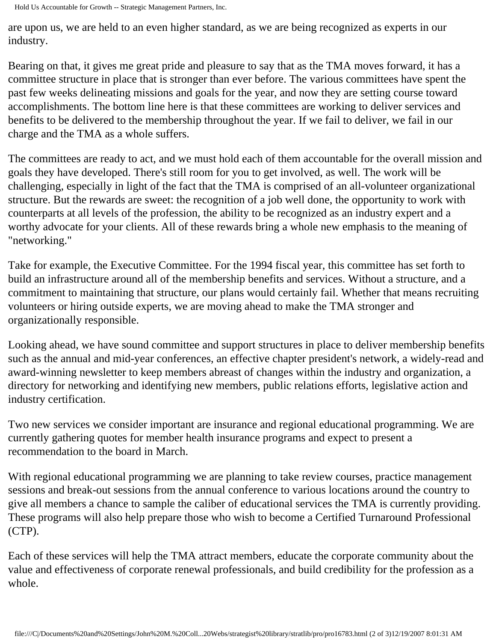Hold Us Accountable for Growth -- Strategic Management Partners, Inc.

are upon us, we are held to an even higher standard, as we are being recognized as experts in our industry.

Bearing on that, it gives me great pride and pleasure to say that as the TMA moves forward, it has a committee structure in place that is stronger than ever before. The various committees have spent the past few weeks delineating missions and goals for the year, and now they are setting course toward accomplishments. The bottom line here is that these committees are working to deliver services and benefits to be delivered to the membership throughout the year. If we fail to deliver, we fail in our charge and the TMA as a whole suffers.

The committees are ready to act, and we must hold each of them accountable for the overall mission and goals they have developed. There's still room for you to get involved, as well. The work will be challenging, especially in light of the fact that the TMA is comprised of an all-volunteer organizational structure. But the rewards are sweet: the recognition of a job well done, the opportunity to work with counterparts at all levels of the profession, the ability to be recognized as an industry expert and a worthy advocate for your clients. All of these rewards bring a whole new emphasis to the meaning of "networking."

Take for example, the Executive Committee. For the 1994 fiscal year, this committee has set forth to build an infrastructure around all of the membership benefits and services. Without a structure, and a commitment to maintaining that structure, our plans would certainly fail. Whether that means recruiting volunteers or hiring outside experts, we are moving ahead to make the TMA stronger and organizationally responsible.

Looking ahead, we have sound committee and support structures in place to deliver membership benefits such as the annual and mid-year conferences, an effective chapter president's network, a widely-read and award-winning newsletter to keep members abreast of changes within the industry and organization, a directory for networking and identifying new members, public relations efforts, legislative action and industry certification.

Two new services we consider important are insurance and regional educational programming. We are currently gathering quotes for member health insurance programs and expect to present a recommendation to the board in March.

With regional educational programming we are planning to take review courses, practice management sessions and break-out sessions from the annual conference to various locations around the country to give all members a chance to sample the caliber of educational services the TMA is currently providing. These programs will also help prepare those who wish to become a Certified Turnaround Professional (CTP).

Each of these services will help the TMA attract members, educate the corporate community about the value and effectiveness of corporate renewal professionals, and build credibility for the profession as a whole.